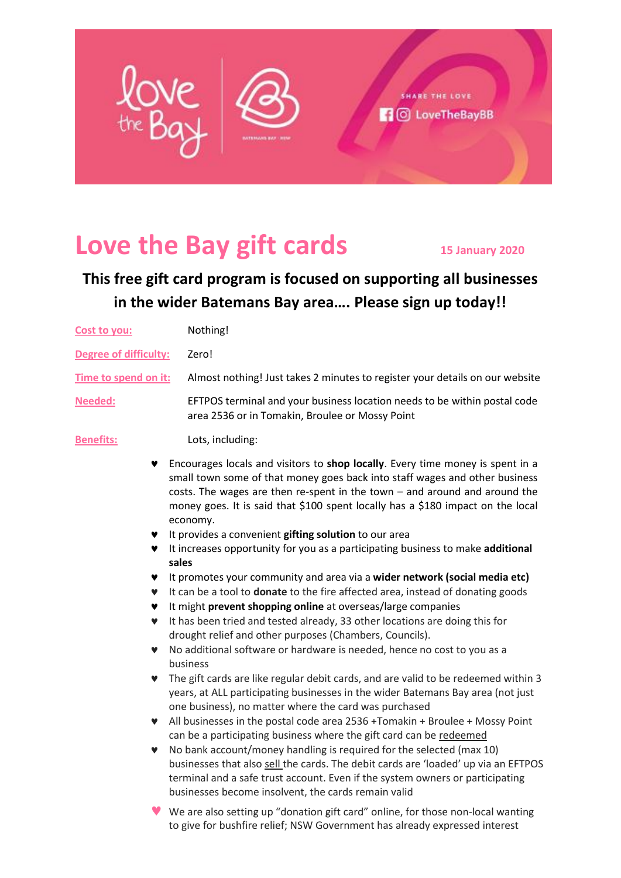

# **Love the Bay gift cards <sup>15</sup> January 2020**

## **This free gift card program is focused on supporting all businesses in the wider Batemans Bay area…. Please sign up today!!**

| Cost to you:                 | Nothing!                                                                                                                                                                                                                                                                                                                                                                                                                                                                                                                                                                                                                                                                                                                         |
|------------------------------|----------------------------------------------------------------------------------------------------------------------------------------------------------------------------------------------------------------------------------------------------------------------------------------------------------------------------------------------------------------------------------------------------------------------------------------------------------------------------------------------------------------------------------------------------------------------------------------------------------------------------------------------------------------------------------------------------------------------------------|
| <b>Degree of difficulty:</b> | Zero!                                                                                                                                                                                                                                                                                                                                                                                                                                                                                                                                                                                                                                                                                                                            |
| Time to spend on it:         | Almost nothing! Just takes 2 minutes to register your details on our website                                                                                                                                                                                                                                                                                                                                                                                                                                                                                                                                                                                                                                                     |
| <b>Needed:</b>               | EFTPOS terminal and your business location needs to be within postal code<br>area 2536 or in Tomakin, Broulee or Mossy Point                                                                                                                                                                                                                                                                                                                                                                                                                                                                                                                                                                                                     |
| Benefits:                    | Lots, including:                                                                                                                                                                                                                                                                                                                                                                                                                                                                                                                                                                                                                                                                                                                 |
| v<br>♥<br>♥<br>♥<br>v        | Encourages locals and visitors to shop locally. Every time money is spent in a<br>small town some of that money goes back into staff wages and other business<br>costs. The wages are then re-spent in the town - and around and around the<br>money goes. It is said that \$100 spent locally has a \$180 impact on the local<br>economy.<br>It provides a convenient gifting solution to our area<br>It increases opportunity for you as a participating business to make additional<br>sales<br>It promotes your community and area via a wider network (social media etc)<br>It can be a tool to donate to the fire affected area, instead of donating goods<br>It might prevent shopping online at overseas/large companies |
| v<br>v<br>v                  | It has been tried and tested already, 33 other locations are doing this for<br>drought relief and other purposes (Chambers, Councils).<br>No additional software or hardware is needed, hence no cost to you as a                                                                                                                                                                                                                                                                                                                                                                                                                                                                                                                |
| v<br>v<br>v                  | business<br>The gift cards are like regular debit cards, and are valid to be redeemed within 3<br>years, at ALL participating businesses in the wider Batemans Bay area (not just<br>one business), no matter where the card was purchased<br>All businesses in the postal code area 2536 +Tomakin + Broulee + Mossy Point<br>can be a participating business where the gift card can be redeemed<br>No bank account/money handling is required for the selected (max 10)<br>businesses that also sell the cards. The debit cards are 'loaded' up via an EFTPOS<br>terminal and a safe trust account. Even if the system owners or participating<br>businesses become insolvent, the cards remain valid                          |
|                              | ♥ We are also setting up "donation gift card" online, for those non-local wanting<br>to give for bushfire relief; NSW Government has already expressed interest                                                                                                                                                                                                                                                                                                                                                                                                                                                                                                                                                                  |